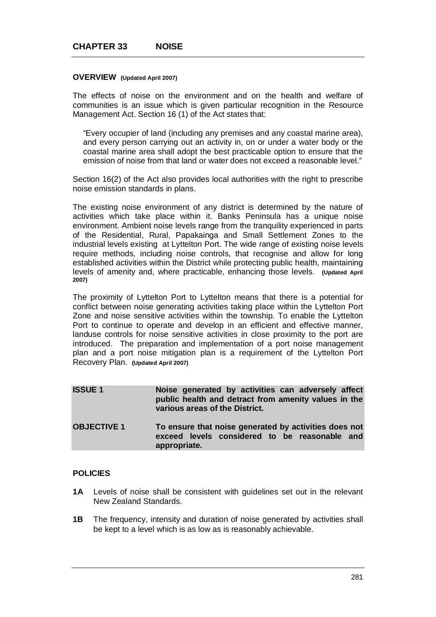### **OVERVIEW (Updated April 2007)**

The effects of noise on the environment and on the health and welfare of communities is an issue which is given particular recognition in the Resource Management Act. Section 16 (1) of the Act states that:

"Every occupier of land (including any premises and any coastal marine area), and every person carrying out an activity in, on or under a water body or the coastal marine area shall adopt the best practicable option to ensure that the emission of noise from that land or water does not exceed a reasonable level."

Section 16(2) of the Act also provides local authorities with the right to prescribe noise emission standards in plans.

The existing noise environment of any district is determined by the nature of activities which take place within it. Banks Peninsula has a unique noise environment. Ambient noise levels range from the tranquility experienced in parts of the Residential, Rural, Papakainga and Small Settlement Zones to the industrial levels existing at Lyttelton Port. The wide range of existing noise levels require methods, including noise controls, that recognise and allow for long established activities within the District while protecting public health, maintaining levels of amenity and, where practicable, enhancing those levels. **(Updated April 2007)**

The proximity of Lyttelton Port to Lyttelton means that there is a potential for conflict between noise generating activities taking place within the Lyttelton Port Zone and noise sensitive activities within the township. To enable the Lyttelton Port to continue to operate and develop in an efficient and effective manner, landuse controls for noise sensitive activities in close proximity to the port are introduced. The preparation and implementation of a port noise management plan and a port noise mitigation plan is a requirement of the Lyttelton Port Recovery Plan. **(Updated April 2007)**

| <b>ISSUE 1</b>     | Noise generated by activities can adversely affect<br>public health and detract from amenity values in the<br>various areas of the District. |
|--------------------|----------------------------------------------------------------------------------------------------------------------------------------------|
| <b>OBJECTIVE 1</b> | To ensure that noise generated by activities does not<br>exceed levels considered to be reasonable and<br>appropriate.                       |

## **POLICIES**

- **1A** Levels of noise shall be consistent with guidelines set out in the relevant New Zealand Standards.
- **1B** The frequency, intensity and duration of noise generated by activities shall be kept to a level which is as low as is reasonably achievable.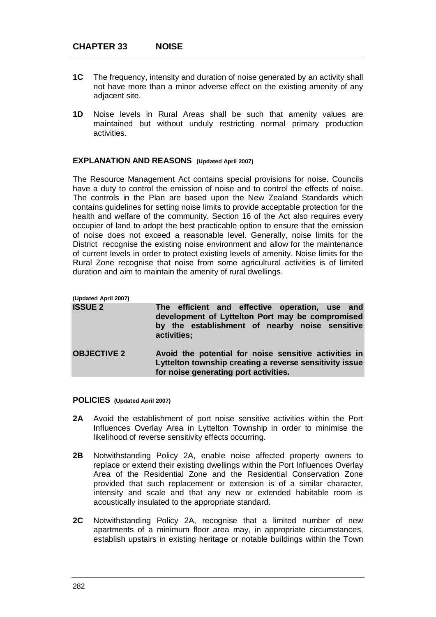- **1C** The frequency, intensity and duration of noise generated by an activity shall not have more than a minor adverse effect on the existing amenity of any adjacent site.
- **1D** Noise levels in Rural Areas shall be such that amenity values are maintained but without unduly restricting normal primary production activities.

## **EXPLANATION AND REASONS (Updated April 2007)**

The Resource Management Act contains special provisions for noise. Councils have a duty to control the emission of noise and to control the effects of noise. The controls in the Plan are based upon the New Zealand Standards which contains guidelines for setting noise limits to provide acceptable protection for the health and welfare of the community. Section 16 of the Act also requires every occupier of land to adopt the best practicable option to ensure that the emission of noise does not exceed a reasonable level. Generally, noise limits for the District recognise the existing noise environment and allow for the maintenance of current levels in order to protect existing levels of amenity. Noise limits for the Rural Zone recognise that noise from some agricultural activities is of limited duration and aim to maintain the amenity of rural dwellings.

| (Updated April 2007) |                                                                                                                                                                     |
|----------------------|---------------------------------------------------------------------------------------------------------------------------------------------------------------------|
| <b>ISSUE 2</b>       | The efficient and effective operation, use and<br>development of Lyttelton Port may be compromised<br>by the establishment of nearby noise sensitive<br>activities; |
| <b>OBJECTIVE 2</b>   | Avoid the potential for noise sensitive activities in<br>Lyttelton township creating a reverse sensitivity issue<br>for noise generating port activities.           |

**POLICIES (Updated April 2007)**

- **2A** Avoid the establishment of port noise sensitive activities within the Port Influences Overlay Area in Lyttelton Township in order to minimise the likelihood of reverse sensitivity effects occurring.
- **2B** Notwithstanding Policy 2A, enable noise affected property owners to replace or extend their existing dwellings within the Port Influences Overlay Area of the Residential Zone and the Residential Conservation Zone provided that such replacement or extension is of a similar character, intensity and scale and that any new or extended habitable room is acoustically insulated to the appropriate standard.
- **2C** Notwithstanding Policy 2A, recognise that a limited number of new apartments of a minimum floor area may, in appropriate circumstances, establish upstairs in existing heritage or notable buildings within the Town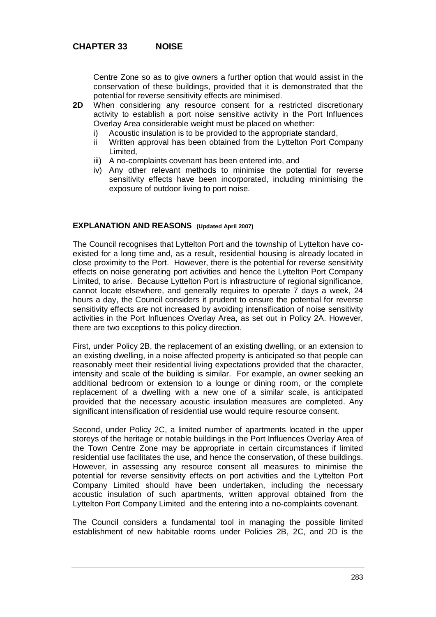Centre Zone so as to give owners a further option that would assist in the conservation of these buildings, provided that it is demonstrated that the potential for reverse sensitivity effects are minimised.

- **2D** When considering any resource consent for a restricted discretionary activity to establish a port noise sensitive activity in the Port Influences Overlay Area considerable weight must be placed on whether:
	- i) Acoustic insulation is to be provided to the appropriate standard,
	- ii Written approval has been obtained from the Lyttelton Port Company Limited,
	- iii) A no-complaints covenant has been entered into, and
	- iv) Any other relevant methods to minimise the potential for reverse sensitivity effects have been incorporated, including minimising the exposure of outdoor living to port noise.

# **EXPLANATION AND REASONS (Updated April 2007)**

The Council recognises that Lyttelton Port and the township of Lyttelton have coexisted for a long time and, as a result, residential housing is already located in close proximity to the Port. However, there is the potential for reverse sensitivity effects on noise generating port activities and hence the Lyttelton Port Company Limited, to arise. Because Lyttelton Port is infrastructure of regional significance, cannot locate elsewhere, and generally requires to operate 7 days a week, 24 hours a day, the Council considers it prudent to ensure the potential for reverse sensitivity effects are not increased by avoiding intensification of noise sensitivity activities in the Port Influences Overlay Area, as set out in Policy 2A. However, there are two exceptions to this policy direction.

First, under Policy 2B, the replacement of an existing dwelling, or an extension to an existing dwelling, in a noise affected property is anticipated so that people can reasonably meet their residential living expectations provided that the character, intensity and scale of the building is similar. For example, an owner seeking an additional bedroom or extension to a lounge or dining room, or the complete replacement of a dwelling with a new one of a similar scale, is anticipated provided that the necessary acoustic insulation measures are completed. Any significant intensification of residential use would require resource consent.

Second, under Policy 2C, a limited number of apartments located in the upper storeys of the heritage or notable buildings in the Port Influences Overlay Area of the Town Centre Zone may be appropriate in certain circumstances if limited residential use facilitates the use, and hence the conservation, of these buildings. However, in assessing any resource consent all measures to minimise the potential for reverse sensitivity effects on port activities and the Lyttelton Port Company Limited should have been undertaken, including the necessary acoustic insulation of such apartments, written approval obtained from the Lyttelton Port Company Limited and the entering into a no-complaints covenant.

The Council considers a fundamental tool in managing the possible limited establishment of new habitable rooms under Policies 2B, 2C, and 2D is the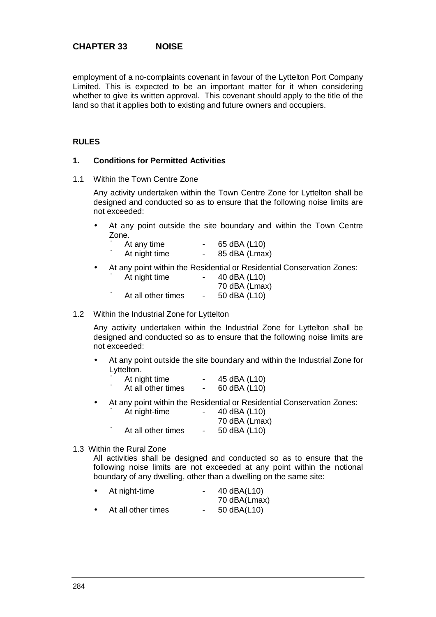employment of a no-complaints covenant in favour of the Lyttelton Port Company Limited. This is expected to be an important matter for it when considering whether to give its written approval. This covenant should apply to the title of the land so that it applies both to existing and future owners and occupiers.

# **RULES**

# **1. Conditions for Permitted Activities**

1.1 Within the Town Centre Zone

Any activity undertaken within the Town Centre Zone for Lyttelton shall be designed and conducted so as to ensure that the following noise limits are not exceeded:

 At any point outside the site boundary and within the Town Centre Zone.

| At any time   | 65 dBA (L10)  |
|---------------|---------------|
| At night time | 85 dBA (Lmax) |

At any point within the Residential or Residential Conservation Zones:

| ú | At night time      | $\sim$ | 40 dBA (L10)  |
|---|--------------------|--------|---------------|
|   |                    |        | 70 dBA (Lmax) |
| ú | At all other times | $\sim$ | 50 dBA (L10)  |

1.2 Within the Industrial Zone for Lyttelton

Any activity undertaken within the Industrial Zone for Lyttelton shall be designed and conducted so as to ensure that the following noise limits are not exceeded:

 At any point outside the site boundary and within the Industrial Zone for Lyttelton.

| At night time      | 45 dBA (L10) |
|--------------------|--------------|
| At all other times | 60 dBA (L10) |

- At any point within the Residential or Residential Conservation Zones:
	- ú At night-time 40 dBA (L10) 70 dBA (Lmax)
	- ú At all other times 50 dBA (L10)

## 1.3 Within the Rural Zone

All activities shall be designed and conducted so as to ensure that the following noise limits are not exceeded at any point within the notional boundary of any dwelling, other than a dwelling on the same site:

| At night-time      | 40 dBA(L10)  |
|--------------------|--------------|
|                    | 70 dBA(Lmax) |
| At all other times | 50 dBA(L10)  |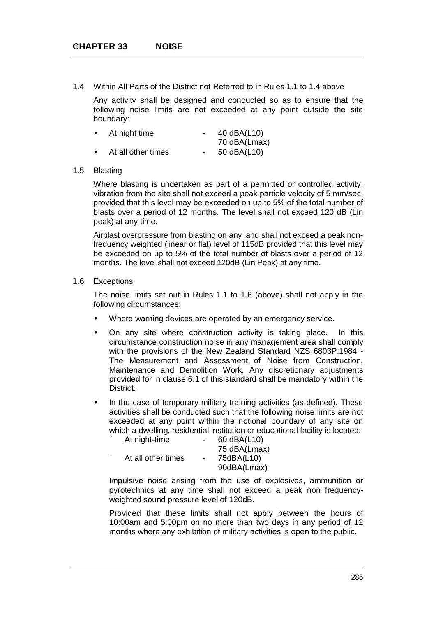1.4 Within All Parts of the District not Referred to in Rules 1.1 to 1.4 above

Any activity shall be designed and conducted so as to ensure that the following noise limits are not exceeded at any point outside the site boundary:

| $\blacksquare$ | At night time      | 40 dBA(L10)  |
|----------------|--------------------|--------------|
|                |                    | 70 dBA(Lmax) |
| $\blacksquare$ | At all other times | 50 dBA(L10)  |

### 1.5 Blasting

Where blasting is undertaken as part of a permitted or controlled activity, vibration from the site shall not exceed a peak particle velocity of 5 mm/sec, provided that this level may be exceeded on up to 5% of the total number of blasts over a period of 12 months. The level shall not exceed 120 dB (Lin peak) at any time.

Airblast overpressure from blasting on any land shall not exceed a peak nonfrequency weighted (linear or flat) level of 115dB provided that this level may be exceeded on up to 5% of the total number of blasts over a period of 12 months. The level shall not exceed 120dB (Lin Peak) at any time.

## 1.6 Exceptions

The noise limits set out in Rules 1.1 to 1.6 (above) shall not apply in the following circumstances:

- Where warning devices are operated by an emergency service.
- On any site where construction activity is taking place. In this circumstance construction noise in any management area shall comply with the provisions of the New Zealand Standard NZS 6803P:1984 - The Measurement and Assessment of Noise from Construction, Maintenance and Demolition Work. Any discretionary adjustments provided for in clause 6.1 of this standard shall be mandatory within the District.

 In the case of temporary military training activities (as defined). These activities shall be conducted such that the following noise limits are not exceeded at any point within the notional boundary of any site on which a dwelling, residential institution or educational facility is located:<br> $\frac{1}{2}$  At pight-time  $\Delta t$  night-time  $\overline{a}$ 

| u | AUTOUR COLLECTED   |    | $00 \, \text{dB}$ $10$ |
|---|--------------------|----|------------------------|
|   |                    |    | 75 dBA(Lmax)           |
| ú | At all other times | ۰. | 75dBA(L10)             |
|   |                    |    | 90dBA(Lmax)            |
|   |                    |    |                        |

Impulsive noise arising from the use of explosives, ammunition or pyrotechnics at any time shall not exceed a peak non frequencyweighted sound pressure level of 120dB.

Provided that these limits shall not apply between the hours of 10:00am and 5:00pm on no more than two days in any period of 12 months where any exhibition of military activities is open to the public.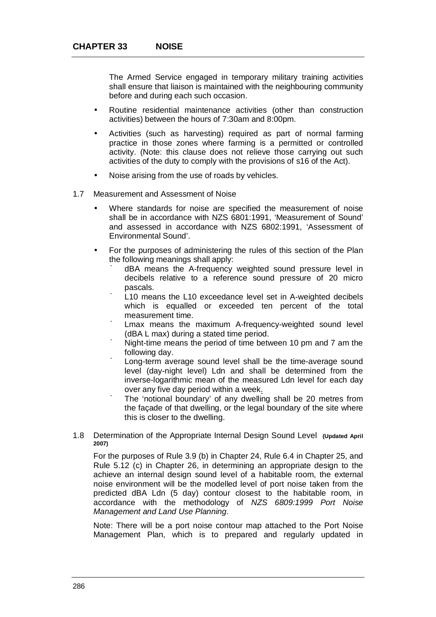The Armed Service engaged in temporary military training activities shall ensure that liaison is maintained with the neighbouring community before and during each such occasion.

- Routine residential maintenance activities (other than construction activities) between the hours of 7:30am and 8:00pm.
- Activities (such as harvesting) required as part of normal farming practice in those zones where farming is a permitted or controlled activity. (Note: this clause does not relieve those carrying out such activities of the duty to comply with the provisions of s16 of the Act).
- Noise arising from the use of roads by vehicles.
- 1.7 Measurement and Assessment of Noise
	- Where standards for noise are specified the measurement of noise shall be in accordance with NZS 6801:1991, 'Measurement of Sound' and assessed in accordance with NZS 6802:1991, 'Assessment of Environmental Sound'.
	- For the purposes of administering the rules of this section of the Plan the following meanings shall apply:
		- ú dBA means the A-frequency weighted sound pressure level in decibels relative to a reference sound pressure of 20 micro pascals.
		- ú L10 means the L10 exceedance level set in A-weighted decibels which is equalled or exceeded ten percent of the total measurement time.
		- ú Lmax means the maximum A-frequency-weighted sound level (dBA L max) during a stated time period.
		- ú Night-time means the period of time between 10 pm and 7 am the following day.
		- ú Long-term average sound level shall be the time-average sound level (day-night level) Ldn and shall be determined from the inverse-logarithmic mean of the measured Ldn level for each day over any five day period within a week.
		- ú The 'notional boundary' of any dwelling shall be 20 metres from the façade of that dwelling, or the legal boundary of the site where this is closer to the dwelling.
- 1.8 Determination of the Appropriate Internal Design Sound Level **(Updated April 2007)**

For the purposes of Rule 3.9 (b) in Chapter 24, Rule 6.4 in Chapter 25, and Rule 5.12 (c) in Chapter 26, in determining an appropriate design to the achieve an internal design sound level of a habitable room, the external noise environment will be the modelled level of port noise taken from the predicted dBA Ldn (5 day) contour closest to the habitable room, in accordance with the methodology of *NZS 6809:1999 Port Noise Management and Land Use Planning*.

Note: There will be a port noise contour map attached to the Port Noise Management Plan, which is to prepared and regularly updated in